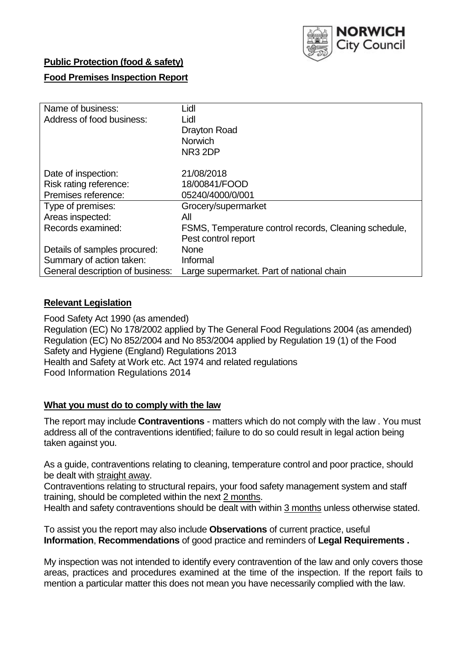

## **Public Protection (food & safety)**

## **Food Premises Inspection Report**

| Name of business:                | Lidl                                                  |
|----------------------------------|-------------------------------------------------------|
| Address of food business:        | Lidl                                                  |
|                                  | <b>Drayton Road</b>                                   |
|                                  | <b>Norwich</b>                                        |
|                                  | NR <sub>3</sub> 2DP                                   |
|                                  |                                                       |
| Date of inspection:              | 21/08/2018                                            |
| Risk rating reference:           | 18/00841/FOOD                                         |
| Premises reference:              | 05240/4000/0/001                                      |
| Type of premises:                | Grocery/supermarket                                   |
| Areas inspected:                 | All                                                   |
| Records examined:                | FSMS, Temperature control records, Cleaning schedule, |
|                                  | Pest control report                                   |
| Details of samples procured:     | None                                                  |
| Summary of action taken:         | Informal                                              |
| General description of business: | Large supermarket. Part of national chain             |

### **Relevant Legislation**

Food Safety Act 1990 (as amended) Regulation (EC) No 178/2002 applied by The General Food Regulations 2004 (as amended) Regulation (EC) No 852/2004 and No 853/2004 applied by Regulation 19 (1) of the Food Safety and Hygiene (England) Regulations 2013 Health and Safety at Work etc. Act 1974 and related regulations Food Information Regulations 2014

#### **What you must do to comply with the law**

The report may include **Contraventions** - matters which do not comply with the law . You must address all of the contraventions identified; failure to do so could result in legal action being taken against you.

As a guide, contraventions relating to cleaning, temperature control and poor practice, should be dealt with straight away.

Contraventions relating to structural repairs, your food safety management system and staff training, should be completed within the next 2 months.

Health and safety contraventions should be dealt with within 3 months unless otherwise stated.

To assist you the report may also include **Observations** of current practice, useful **Information**, **Recommendations** of good practice and reminders of **Legal Requirements .**

My inspection was not intended to identify every contravention of the law and only covers those areas, practices and procedures examined at the time of the inspection. If the report fails to mention a particular matter this does not mean you have necessarily complied with the law.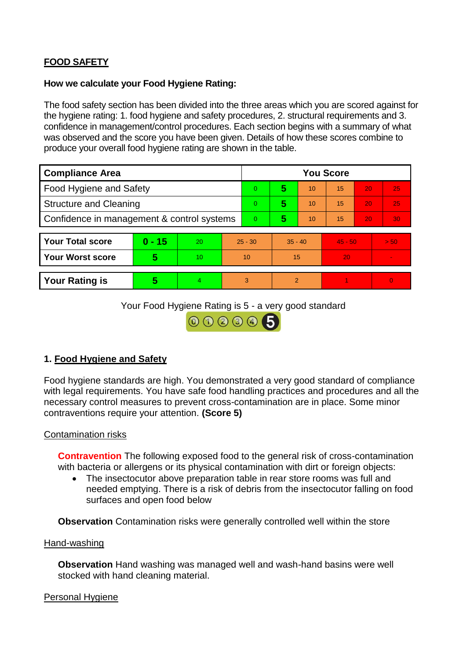# **FOOD SAFETY**

### **How we calculate your Food Hygiene Rating:**

The food safety section has been divided into the three areas which you are scored against for the hygiene rating: 1. food hygiene and safety procedures, 2. structural requirements and 3. confidence in management/control procedures. Each section begins with a summary of what was observed and the score you have been given. Details of how these scores combine to produce your overall food hygiene rating are shown in the table.

| <b>Compliance Area</b>                     |          |    |           | <b>You Score</b> |           |    |           |    |                |  |  |
|--------------------------------------------|----------|----|-----------|------------------|-----------|----|-----------|----|----------------|--|--|
| Food Hygiene and Safety                    |          |    |           | $\Omega$         | 5         | 10 | 15        | 20 | 25             |  |  |
| <b>Structure and Cleaning</b>              |          |    | $\Omega$  | 5                | 10        | 15 | 20        | 25 |                |  |  |
| Confidence in management & control systems |          |    | $\Omega$  | 5                | 10        | 15 | 20        | 30 |                |  |  |
|                                            |          |    |           |                  |           |    |           |    |                |  |  |
| <b>Your Total score</b>                    | $0 - 15$ | 20 | $25 - 30$ |                  | $35 - 40$ |    | $45 - 50$ |    | > 50           |  |  |
| <b>Your Worst score</b>                    | 5        | 10 | 10        |                  | 15        |    | 20        |    | $\blacksquare$ |  |  |
|                                            |          |    |           |                  |           |    |           |    |                |  |  |
| <b>Your Rating is</b>                      | 5        | 4. | 3         |                  | 2         |    |           |    | $\overline{0}$ |  |  |

Your Food Hygiene Rating is 5 - a very good standard



# **1. Food Hygiene and Safety**

Food hygiene standards are high. You demonstrated a very good standard of compliance with legal requirements. You have safe food handling practices and procedures and all the necessary control measures to prevent cross-contamination are in place. Some minor contraventions require your attention. **(Score 5)**

## Contamination risks

**Contravention** The following exposed food to the general risk of cross-contamination with bacteria or allergens or its physical contamination with dirt or foreign objects:

• The insectocutor above preparation table in rear store rooms was full and needed emptying. There is a risk of debris from the insectocutor falling on food surfaces and open food below

**Observation** Contamination risks were generally controlled well within the store

#### Hand-washing

**Observation** Hand washing was managed well and wash-hand basins were well stocked with hand cleaning material.

## Personal Hygiene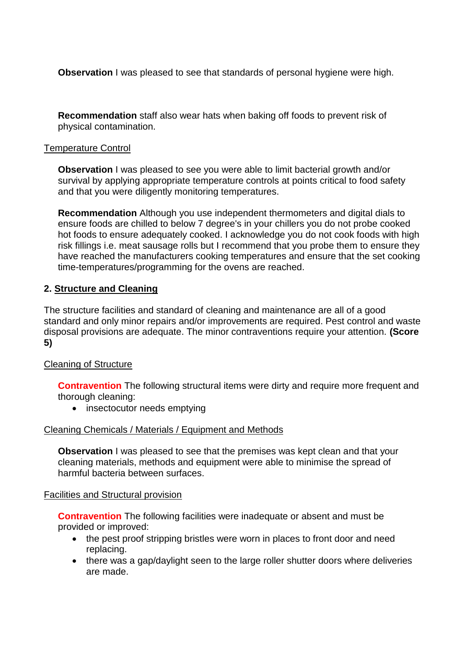**Observation** I was pleased to see that standards of personal hygiene were high.

**Recommendation** staff also wear hats when baking off foods to prevent risk of physical contamination.

## Temperature Control

**Observation** I was pleased to see you were able to limit bacterial growth and/or survival by applying appropriate temperature controls at points critical to food safety and that you were diligently monitoring temperatures.

**Recommendation** Although you use independent thermometers and digital dials to ensure foods are chilled to below 7 degree's in your chillers you do not probe cooked hot foods to ensure adequately cooked. I acknowledge you do not cook foods with high risk fillings i.e. meat sausage rolls but I recommend that you probe them to ensure they have reached the manufacturers cooking temperatures and ensure that the set cooking time-temperatures/programming for the ovens are reached.

## **2. Structure and Cleaning**

The structure facilities and standard of cleaning and maintenance are all of a good standard and only minor repairs and/or improvements are required. Pest control and waste disposal provisions are adequate. The minor contraventions require your attention. **(Score 5)**

## Cleaning of Structure

**Contravention** The following structural items were dirty and require more frequent and thorough cleaning:

• insectocutor needs emptying

#### Cleaning Chemicals / Materials / Equipment and Methods

**Observation** I was pleased to see that the premises was kept clean and that your cleaning materials, methods and equipment were able to minimise the spread of harmful bacteria between surfaces.

#### Facilities and Structural provision

**Contravention** The following facilities were inadequate or absent and must be provided or improved:

- the pest proof stripping bristles were worn in places to front door and need replacing.
- there was a gap/daylight seen to the large roller shutter doors where deliveries are made.